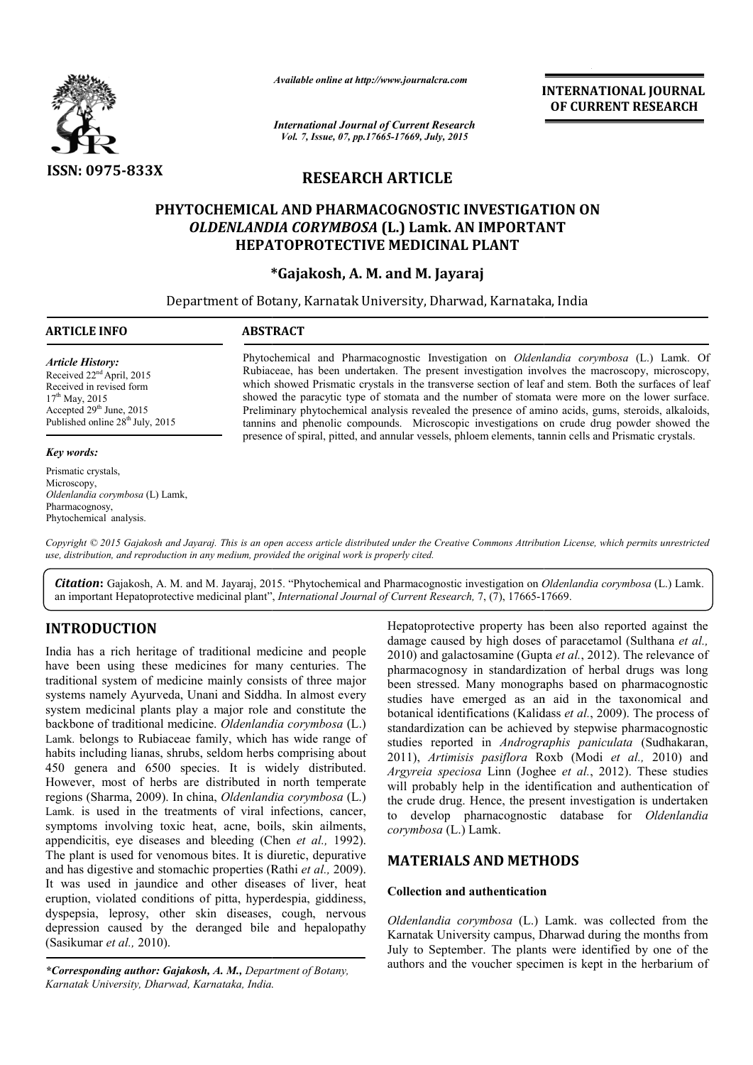

*Available online at http://www.journalcra.com*

*International Journal of Current Research Vol. 7, Issue, 07, pp.17665-17669, July, 2015*

**INTERNATIONAL INTERNATIONAL JOURNAL OF CURRENT RESEARCH** 

# **RESEARCH ARTICLE**

# PHYTOCHEMICAL AND PHARMACOGNOSTIC INVESTIGATION ON *OLDENLANDIA CORYMBOSA* **(L.) Lamk. AN IMPORTANT HEPATOPROTECTIVE MEDICINAL PLANT**

# **\*Gajakosh, A. M. and M. Jayaraj**

Department of Botany, Karnatak University, Dharwad, Karnataka, India 1

## **ARTICLE INFO ABSTRACT**

*Article History:* Received 22nd April, 2015 Received in revised form  $17^{th}$  May, 2015 Accepted 29<sup>th</sup> June, 2015 Published online 28<sup>th</sup> July, 2015

#### *Key words:*

Prismatic crystals, Microscopy, *Oldenlandia corymbosa* (L) Lamk, Pharmacognosy, Phytochemical analysis.

Phytochemical and Pharmacognostic Investigation on *Oldenlandia corymbosa* (L.) Lamk. Of Rubiac Rubiaceae, has been undertaken. The present investigation involves the macroscopy, microscopy, which showed Prismatic crystals in the transverse section of leaf and stem. Both the surfaces of leaf showed the paracytic type of stomata and the number of stomata were more on the lower surface. Preliminary phytochemical analysis revealed the presence of amino acids, gums, steroids, alkaloids, Preliminary phytochemical analysis revealed the presence of amino acids, gums, steroids, alkaloids, tannins and phenolic compounds. Microscopic investigations on crude drug powder showed the presence of spiral, pitted, and annular vessels, phloem elements, tannin cells and Prismatic crystals. involves the macroscopy, microscopy, and Prismatic crystals in the transverse section of leaf and stem. Both the surfaces of leaf paracytic type of stomata and the number of stomata were more on the lower surface.

Copyright © 2015 Gajakosh and Jayaraj. This is an open access article distributed under the Creative Commons Attribution License, which permits unrestrictea *use, distribution, and reproduction in any medium, provided the original work is properly cited.*

Citation: Gajakosh, A. M. and M. Jayaraj, 2015. "Phytochemical and Pharmacognostic investigation on *Oldenlandia corymbosa* (L.) Lamk. an important Hepatoprotective medicinal plant", *International Journal of Current Research*, 7, (7), 17665-17669.

# **INTRODUCTION**

India has a rich heritage of traditional medicine and people have been using these medicines for many centuries. The traditional system of medicine mainly consists of three major systems namely Ayurveda, Unani and Siddha. In almost every system medicinal plants play a major role and constitute the backbone of traditional medicine. *Oldenlandia corymbosa* (L.) Lamk. belongs to Rubiaceae family, which has wide range of habits including lianas, shrubs, seldom herbs comprising about 450 genera and 6500 species. It is widely distributed. However, most of herbs are distributed in north temperate regions (Sharma, 2009). In china, *Oldenlandia corymbosa* (L.) Lamk. is used in the treatments of viral infections, cancer, symptoms involving toxic heat, acne, boils, skin ailments, appendicitis, eye diseases and bleeding (Chen *et al.,* 1992). The plant is used for venomous bites. It is diuretic, depurative and has digestive and stomachic properties (Rathi *et al.,* 2009). It was used in jaundice and other diseases of liver, heat eruption, violated conditions of pitta, hyperdespia, giddiness, dyspepsia, leprosy, other skin diseases, cough, nervous depression caused by the deranged bile and hepalopathy (Sasikumar *et al.,* 2010). ae family, v<br>rubs, seldon<br>species. It

*\*Corresponding author: Gajakosh, A. M., Department of Botany, Karnatak University, Dharwad, Karnataka, India.*

*Hepatoprotective property has been also reported against the*<br> *Almage caused by high doess of paracetamol* (Sulthane *et al.*,<br> *ny* centuries. The<br> *paramacognosy* in standardization of herbal drugs was long<br>
its of thr Hepatoprotective property has been also reported against the damage caused by high doses of paracetamol (Sulthana *et al.*, 2010) and galactosamine (Gupta et al., 2012). The relevance of pharmacognosy in standardization of herbal drugs was long been stressed. Many monographs based on pharmacognostic studies have emerged as an aid in the taxonomical and botanical identifications (Kalidass et al., 2009). The process of standardization can be achieved by stepwise pharmacognostic studies reported in *Andrographis paniculata* (Sudhakaran, 2011), *Artimisis pasiflora* Roxb (Modi *et al.,* 2010) and Argyreia speciosa Linn (Joghee et al., 2012). These studies will probably help in the identification and authentication of will probably help in the identification and authentication of the crude drug. Hence, the present investigation is undertaken to develop pharnacognostic database for *Oldenlandia corymbosa* (L.) Lamk. pharmacognosy in standardization of herbal drugs was long<br>been stressed. Many monographs based on pharmacognostic<br>studies have emerged as an aid in the taxonomical and<br>botanical identifications *(Kalidass et al., 2009)*. T

# **MATERIALS AND METHODS**

## **Collection and authentication thentication**

Oldenlandia corymbosa (L.) Lamk. was collected from the Karnatak University campus, Dharwad during the months from July to September. The plants were identified by one of the Karnatak University campus, Dharwad during the months from July to September. The plants were identified by one of the authors and the voucher specimen is kept in the herbarium of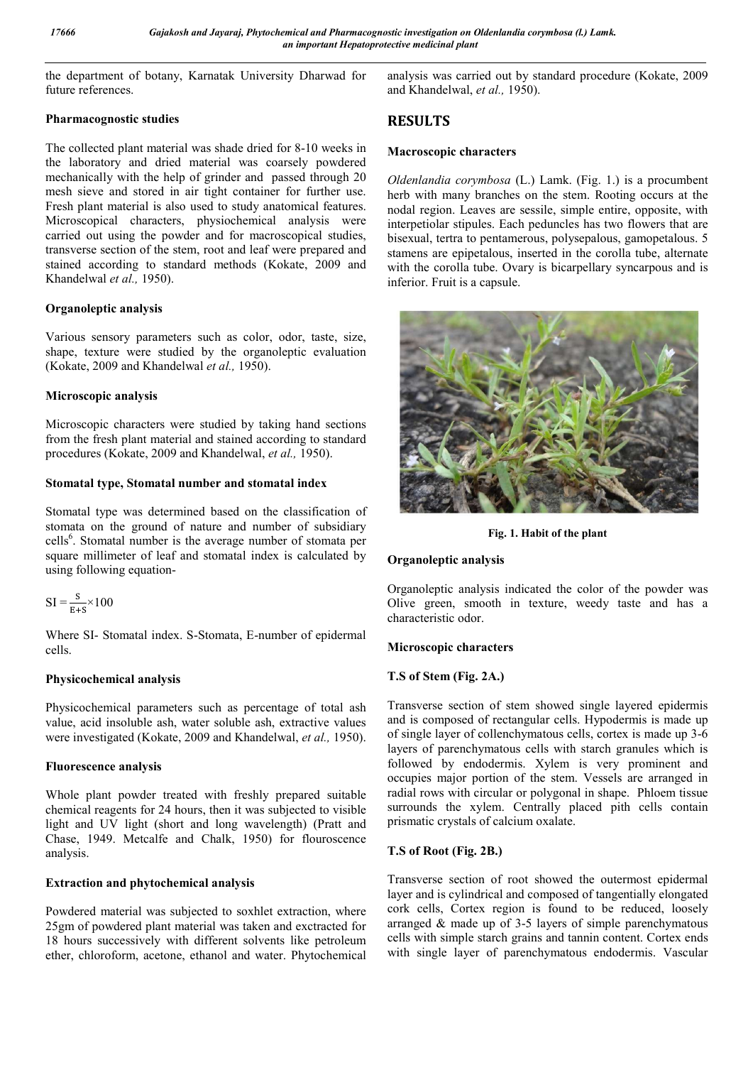the department of botany, Karnatak University Dharwad for future references.

## **Pharmacognostic studies**

The collected plant material was shade dried for 8-10 weeks in the laboratory and dried material was coarsely powdered mechanically with the help of grinder and passed through 20 mesh sieve and stored in air tight container for further use. Fresh plant material is also used to study anatomical features. Microscopical characters, physiochemical analysis were carried out using the powder and for macroscopical studies, transverse section of the stem, root and leaf were prepared and stained according to standard methods (Kokate, 2009 and Khandelwal *et al.,* 1950).

# **Organoleptic analysis**

Various sensory parameters such as color, odor, taste, size, shape, texture were studied by the organoleptic evaluation (Kokate, 2009 and Khandelwal *et al.,* 1950).

# **Microscopic analysis**

Microscopic characters were studied by taking hand sections from the fresh plant material and stained according to standard procedures (Kokate, 2009 and Khandelwal, *et al.,* 1950).

# **Stomatal type, Stomatal number and stomatal index**

Stomatal type was determined based on the classification of stomata on the ground of nature and number of subsidiary cells<sup>6</sup>. Stomatal number is the average number of stomata per square millimeter of leaf and stomatal index is calculated by using following equation-

$$
SI = \frac{S}{E+S} \times 100
$$

Where SI- Stomatal index. S-Stomata, E-number of epidermal cells.

# **Physicochemical analysis**

Physicochemical parameters such as percentage of total ash value, acid insoluble ash, water soluble ash, extractive values were investigated (Kokate, 2009 and Khandelwal, *et al.,* 1950).

## **Fluorescence analysis**

Whole plant powder treated with freshly prepared suitable chemical reagents for 24 hours, then it was subjected to visible light and UV light (short and long wavelength) (Pratt and Chase, 1949. Metcalfe and Chalk, 1950) for flouroscence analysis.

# **Extraction and phytochemical analysis**

Powdered material was subjected to soxhlet extraction, where 25gm of powdered plant material was taken and exctracted for 18 hours successively with different solvents like petroleum ether, chloroform, acetone, ethanol and water. Phytochemical analysis was carried out by standard procedure (Kokate, 2009 and Khandelwal, *et al.,* 1950).

# **RESULTS**

## **Macroscopic characters**

*Oldenlandia corymbosa* (L.) Lamk. (Fig. 1.) is a procumbent herb with many branches on the stem. Rooting occurs at the nodal region. Leaves are sessile, simple entire, opposite, with interpetiolar stipules. Each peduncles has two flowers that are bisexual, tertra to pentamerous, polysepalous, gamopetalous. 5 stamens are epipetalous, inserted in the corolla tube, alternate with the corolla tube. Ovary is bicarpellary syncarpous and is inferior. Fruit is a capsule.



**Fig. 1. Habit of the plant**

# **Organoleptic analysis**

Organoleptic analysis indicated the color of the powder was Olive green, smooth in texture, weedy taste and has a characteristic odor.

## **Microscopic characters**

# **T.S of Stem (Fig. 2A.)**

Transverse section of stem showed single layered epidermis and is composed of rectangular cells. Hypodermis is made up of single layer of collenchymatous cells, cortex is made up 3-6 layers of parenchymatous cells with starch granules which is followed by endodermis. Xylem is very prominent and occupies major portion of the stem. Vessels are arranged in radial rows with circular or polygonal in shape. Phloem tissue surrounds the xylem. Centrally placed pith cells contain prismatic crystals of calcium oxalate.

# **T.S of Root (Fig. 2B.)**

Transverse section of root showed the outermost epidermal layer and is cylindrical and composed of tangentially elongated cork cells, Cortex region is found to be reduced, loosely arranged & made up of 3-5 layers of simple parenchymatous cells with simple starch grains and tannin content. Cortex ends with single layer of parenchymatous endodermis. Vascular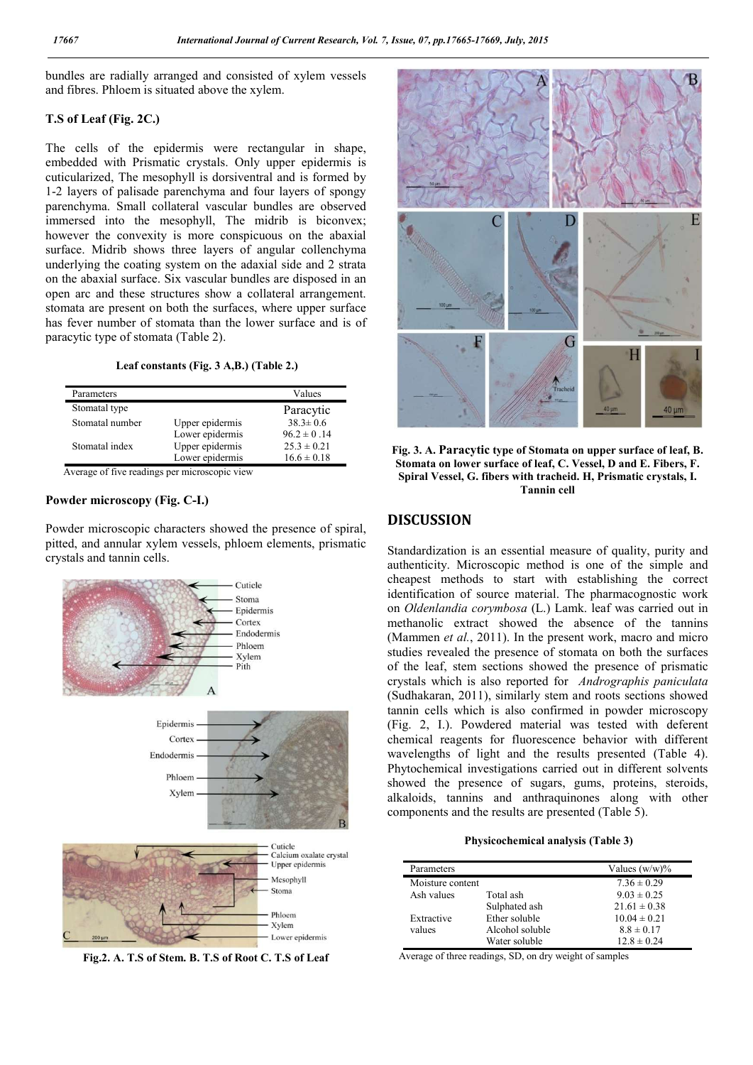bundles are radially arranged and consisted of xylem vessels and fibres. Phloem is situated above the xylem.

## **T.S of Leaf (Fig. 2C.)**

The cells of the epidermis were rectangular in shape, embedded with Prismatic crystals. Only upper epidermis is cuticularized, The mesophyll is dorsiventral and is formed by 1-2 layers of palisade parenchyma and four layers of spongy parenchyma. Small collateral vascular bundles are observed immersed into the mesophyll, The midrib is biconvex; however the convexity is more conspicuous on the abaxial surface. Midrib shows three layers of angular collenchyma underlying the coating system on the adaxial side and 2 strata on the abaxial surface. Six vascular bundles are disposed in an open arc and these structures show a collateral arrangement. stomata are present on both the surfaces, where upper surface has fever number of stomata than the lower surface and is of paracytic type of stomata (Table 2).

### **Leaf constants (Fig. 3 A,B.) (Table 2.)**

| Parameters      |                 | Values          |
|-----------------|-----------------|-----------------|
| Stomatal type   |                 | Paracytic       |
| Stomatal number | Upper epidermis | $38.3 \pm 0.6$  |
|                 | Lower epidermis | $96.2 \pm 0.14$ |
| Stomatal index  | Upper epidermis | $25.3 \pm 0.21$ |
|                 | Lower epidermis | $16.6 \pm 0.18$ |
|                 |                 |                 |

Average of five readings per microscopic view

## **Powder microscopy (Fig. C-I.)**

Powder microscopic characters showed the presence of spiral, pitted, and annular xylem vessels, phloem elements, prismatic crystals and tannin cells.



**Fig.2. A. T.S of Stem. B. T.S of Root C. T.S of Leaf**



**Fig. 3. A. Paracytic type of Stomata on upper surface of leaf, B. Stomata on lower surface of leaf, C. Vessel, D and E. Fibers, F. Spiral Vessel, G. fibers with tracheid. H, Prismatic crystals, I. Tannin cell**

# **DISCUSSION**

Standardization is an essential measure of quality, purity and authenticity. Microscopic method is one of the simple and cheapest methods to start with establishing the correct identification of source material. The pharmacognostic work on *Oldenlandia corymbosa* (L.) Lamk. leaf was carried out in methanolic extract showed the absence of the tannins (Mammen *et al.*, 2011). In the present work, macro and micro studies revealed the presence of stomata on both the surfaces of the leaf, stem sections showed the presence of prismatic crystals which is also reported for *Andrographis paniculata*  (Sudhakaran, 2011), similarly stem and roots sections showed tannin cells which is also confirmed in powder microscopy (Fig. 2, I.). Powdered material was tested with deferent chemical reagents for fluorescence behavior with different wavelengths of light and the results presented (Table 4). Phytochemical investigations carried out in different solvents showed the presence of sugars, gums, proteins, steroids, alkaloids, tannins and anthraquinones along with other components and the results are presented (Table 5).

#### **Physicochemical analysis (Table 3)**

| Parameters       |                 | Values $(w/w)\%$ |
|------------------|-----------------|------------------|
| Moisture content |                 | $7.36 \pm 0.29$  |
| Ash values       | Total ash       | $9.03 \pm 0.25$  |
|                  | Sulphated ash   | $21.61 \pm 0.38$ |
| Extractive       | Ether soluble   | $10.04 \pm 0.21$ |
| values           | Alcohol soluble | $8.8 \pm 0.17$   |
|                  | Water soluble   | $12.8 \pm 0.24$  |

Average of three readings, SD, on dry weight of samples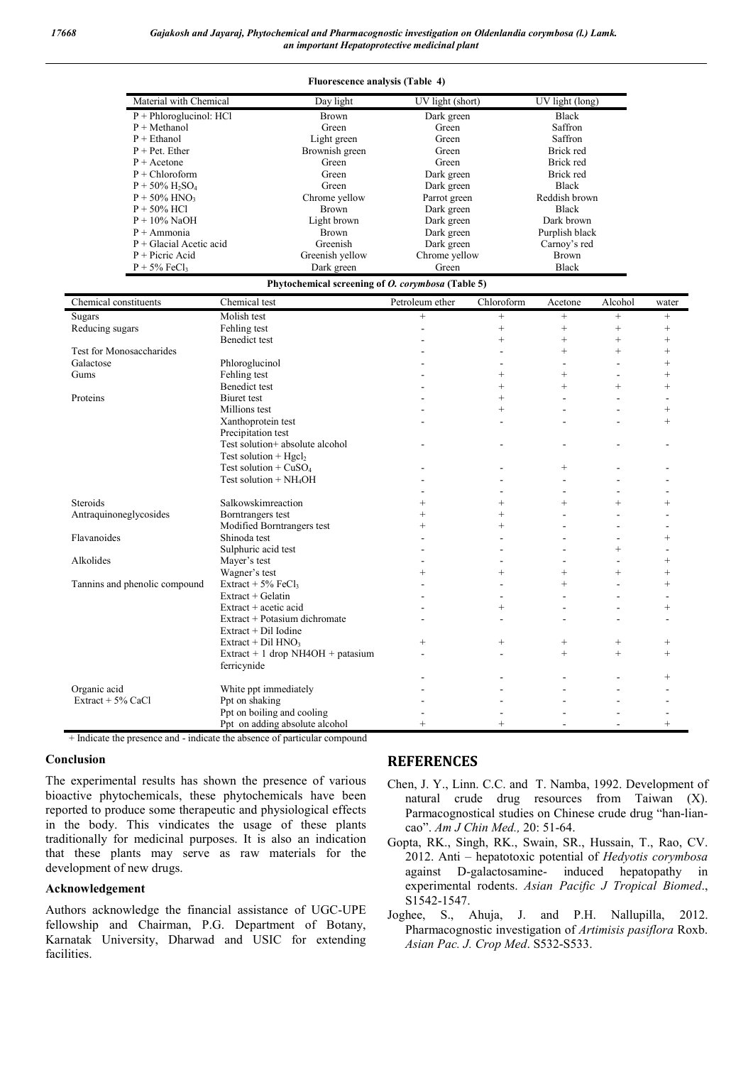| <b>Fluorescence analysis (Table 4)</b>    |                 |                  |                 |
|-------------------------------------------|-----------------|------------------|-----------------|
| Material with Chemical                    | Day light       | UV light (short) | UV light (long) |
| $P + Phloroglucinol: HCl$                 | <b>Brown</b>    | Dark green       | <b>Black</b>    |
| $P + Methanol$                            | Green           | Green            | Saffron         |
| $P + Ethanol$                             | Light green     | Green            | Saffron         |
| $P + Pet$ . Ether                         | Brownish green  | Green            | Brick red       |
| $P +$ Acetone                             | Green           | Green            | Brick red       |
| $P + Chloroform$                          | Green           | Dark green       | Brick red       |
| $P + 50\%$ H <sub>2</sub> SO <sub>4</sub> | Green           | Dark green       | <b>Black</b>    |
| $P + 50\%$ HNO <sub>3</sub>               | Chrome yellow   | Parrot green     | Reddish brown   |
| $P + 50\%$ HCl                            | <b>Brown</b>    | Dark green       | <b>Black</b>    |
| $P + 10\%$ NaOH                           | Light brown     | Dark green       | Dark brown      |
| $P + A$ mmonia                            | <b>Brown</b>    | Dark green       | Purplish black  |
| $P + Glacial Acetic acid$                 | Greenish        | Dark green       | Carnoy's red    |
| $P +$ Picric Acid                         | Greenish yellow | Chrome yellow    | <b>Brown</b>    |
| $P + 5\%$ FeCl <sub>3</sub>               | Dark green      | Green            | <b>Black</b>    |

| Phytochemical screening of <i>O. corymbosa</i> (Table 5) |  |  |
|----------------------------------------------------------|--|--|
|                                                          |  |  |

| Chemical constituents         | Chemical test                        | Petroleum ether | Chloroform | Acetone           | Alcohol | water          |
|-------------------------------|--------------------------------------|-----------------|------------|-------------------|---------|----------------|
| Sugars                        | Molish test                          | $+$             | $^{+}$     | $\qquad \qquad +$ | $^{+}$  | $^{+}$         |
| Reducing sugars               | Fehling test                         |                 | $^{+}$     | $^{+}$            | $^{+}$  | $^{+}$         |
|                               | <b>Benedict test</b>                 |                 | $^{+}$     | $^{+}$            | $^{+}$  | $^{+}$         |
| Test for Monosaccharides      |                                      |                 |            | $^{+}$            | $^{+}$  | $^{+}$         |
| Galactose                     | Phloroglucinol                       |                 |            |                   |         | $\ddot{}$      |
| Gums                          | Fehling test                         |                 | $^{+}$     | $^{+}$            |         |                |
|                               | <b>Benedict test</b>                 |                 | $^{+}$     | $+$               | $+$     | $^{+}$         |
| Proteins                      | <b>Biuret</b> test                   |                 | $^{+}$     |                   |         |                |
|                               | Millions test                        |                 | $^{+}$     |                   |         | $^{+}$         |
|                               | Xanthoprotein test                   |                 |            |                   |         | $^{+}$         |
|                               | Precipitation test                   |                 |            |                   |         |                |
|                               | Test solution+ absolute alcohol      |                 |            |                   |         |                |
|                               | Test solution + $Hgcl2$              |                 |            |                   |         |                |
|                               | Test solution + $CuSO4$              |                 |            | $^{+}$            |         |                |
|                               | Test solution $+NH4OH$               |                 |            |                   |         |                |
|                               |                                      |                 |            |                   |         |                |
| Steroids                      | Salkowskimreaction                   |                 | $^{+}$     | $^{+}$            | $^{+}$  | $\ddot{}$      |
| Antraquinoneglycosides        | Borntrangers test                    |                 | $^{+}$     |                   |         |                |
|                               | Modified Borntrangers test           |                 | $^{+}$     |                   |         |                |
| Flavanoides                   | Shinoda test                         |                 |            |                   |         | $^{+}$         |
|                               | Sulphuric acid test                  |                 |            |                   | $^{+}$  |                |
| Alkolides                     | Mayer's test                         |                 |            |                   |         |                |
|                               | Wagner's test                        | $^{+}$          | $^{+}$     | $^{+}$            | $^{+}$  |                |
| Tannins and phenolic compound | Extract + $5\%$ FeCl <sub>3</sub>    |                 |            | $^{+}$            |         | $^{+}$         |
|                               | Extract + Gelatin                    |                 |            |                   |         |                |
|                               | $Extract + actic$ acid               |                 | $^{+}$     |                   |         | $^{+}$         |
|                               | Extract + Potasium dichromate        |                 |            |                   |         |                |
|                               | Extract + Dil Iodine                 |                 |            |                   |         |                |
|                               | Extract + Dil $HNO3$                 | $^{+}$          | $^{+}$     | $^{+}$            | $^{+}$  | $^{+}$         |
|                               | Extract + 1 drop $NH4OH + p$ atasium |                 |            | $^{+}$            | $^{+}$  | $^{+}$         |
|                               | ferricynide                          |                 |            |                   |         |                |
|                               |                                      |                 |            |                   |         | $\overline{+}$ |
| Organic acid                  | White ppt immediately                |                 |            |                   |         |                |
| Extract $+$ 5% CaCl           | Ppt on shaking                       |                 |            |                   |         |                |
|                               | Ppt on boiling and cooling           |                 |            |                   |         |                |
|                               | Ppt on adding absolute alcohol       |                 |            |                   |         |                |

+ Indicate the presence and - indicate the absence of particular compound

## **Conclusion**

The experimental results has shown the presence of various bioactive phytochemicals, these phytochemicals have been reported to produce some therapeutic and physiological effects in the body. This vindicates the usage of these plants traditionally for medicinal purposes. It is also an indication that these plants may serve as raw materials for the development of new drugs.

## **Acknowledgement**

Authors acknowledge the financial assistance of UGC-UPE fellowship and Chairman, P.G. Department of Botany, Karnatak University, Dharwad and USIC for extending facilities.

# **REFERENCES**

- Chen, J. Y., Linn. C.C. and T. Namba, 1992. Development of natural crude drug resources from Taiwan (X). Parmacognostical studies on Chinese crude drug "han-liancao". *Am J Chin Med.,* 20: 51-64.
- Gopta, RK., Singh, RK., Swain, SR., Hussain, T., Rao, CV. 2012. Anti – hepatotoxic potential of *Hedyotis corymbosa* against D-galactosamine- induced hepatopathy in experimental rodents. *Asian Pacific J Tropical Biomed*., S1542-1547.
- Joghee, S., Ahuja, J. and P.H. Nallupilla, 2012. Pharmacognostic investigation of *Artimisis pasiflora* Roxb. *Asian Pac. J. Crop Med*. S532-S533.